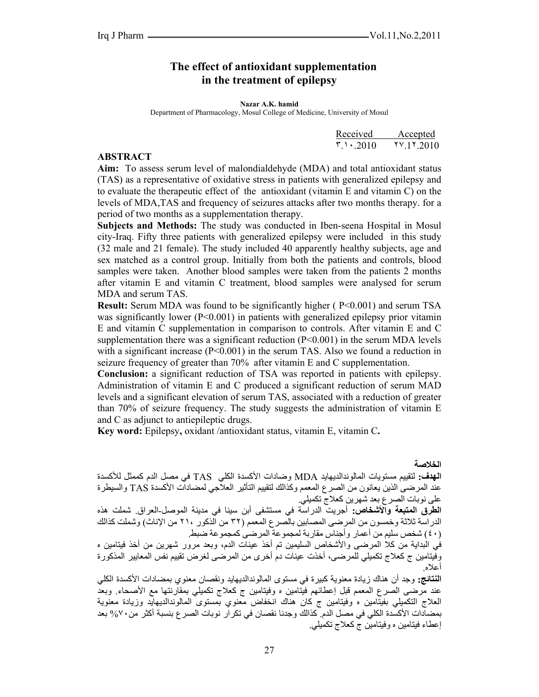# **The effect of antioxidant supplementation in the treatment of epilepsy**

#### **Nazar A.K. hamid**

Department of Pharmacology, Mosul College of Medicine, University of Mosul

| Received Accepted |                                                                                         |
|-------------------|-----------------------------------------------------------------------------------------|
|                   | $\mathcal{F} \rightarrow 2010$ $\mathcal{V} \rightarrow 1 \mathcal{I} \rightarrow 2010$ |

#### **ABSTRACT**

**Aim:** To assess serum level of malondialdehyde (MDA) and total antioxidant status (TAS) as a representative of oxidative stress in patients with generalized epilepsy and to evaluate the therapeutic effect of the antioxidant (vitamin E and vitamin C) on the levels of MDA,TAS and frequency of seizures attacks after two months therapy. for a period of two months as a supplementation therapy.

**Subjects and Methods:** The study was conducted in Iben-seena Hospital in Mosul city-Iraq. Fifty three patients with generalized epilepsy were included in this study (32 male and 21 female). The study included 40 apparently healthy subjects, age and sex matched as a control group. Initially from both the patients and controls, blood samples were taken. Another blood samples were taken from the patients 2 months after vitamin E and vitamin C treatment, blood samples were analysed for serum MDA and serum TAS.

**Result:** Serum MDA was found to be significantly higher ( $P \le 0.001$ ) and serum TSA was significantly lower  $(P<0.001)$  in patients with generalized epilepsy prior vitamin E and vitamin C supplementation in comparison to controls. After vitamin E and C supplementation there was a significant reduction  $(P<0.001)$  in the serum MDA levels with a significant increase  $(P<0.001)$  in the serum TAS. Also we found a reduction in seizure frequency of greater than 70% after vitamin E and C supplementation.

**Conclusion:** a significant reduction of TSA was reported in patients with epilepsy. Administration of vitamin E and C produced a significant reduction of serum MAD levels and a significant elevation of serum TAS, associated with a reduction of greater than 70% of seizure frequency. The study suggests the administration of vitamin E and C as adjunct to antiepileptic drugs.

**Key word:** Epilepsy**,** oxidant /antioxidant status, vitamin E, vitamin C**.** 

**الخلاصة** 

**الهدف:** لتقييم مستويات المالوندالديهايد MDA وضادات الأآسدة الكلي TAS في مصل الدم آممثل للأآسدة عند المرضى الذين يعانون من الصرع المعمم وكذالك لتقييم التأثير العلاجي لمضادات الأكسدة TAS والسيطرة على نوبات الصرع بعد شهرين كعلاج تكميلي.

**الطرق المتبعة والأشخاص:** أجريت الدراسة في مستشفى أبن سينا في مدينة الموصل-العراق. شملت هذه الدراسة ثلاثة وخمسون من المرضى المصابين بالصرع المعمم (٣٢ من الذكور ٢١٠ من الإناث) وشملت كذالك (٤٠) شخص سليم من أعمار وأجناس مقاربة لمجموعة المرضى كمجموعة ضبط.

في البداية من كلاً المرضى والأشخاص السليمين تم أخذ عينات الدم، وبعد مرور شهرين من أخذ فيتامين ه وفَيتامين ج كعلاج تكميلي للمرضى، أخذت عينات دم أخرى من المرضى لغرض تقييم نفس المعايير المذكورة أعلاه.

**النتائج:** وجد أن هناك زيادة معنوية آبيرة في مستوى المالوندالديهايد ونقصان معنوي بمضادات الأآسدة الكلي عند مرضى الصرع المعمم قبل إعطائهم فيتامين ه وفيتامين ج كعلاج تكميلي بمقارنتها مع الأصحاء. وبعد العلاج التكميلي بفيتامين ه وفيتامين ج كان هناك انخفاض معنوي بمستوى المالوندالديهايد وزيادة معنوية بمضاّدات الأكسّدة الكلي في مصل الدم. كذالك وجدنا نقصان في تكراّر نوبات الصرع بنسبة أكثر من٧٠% بعد إعطاء فيتامين ه وفيتامين ج كعلاج تكميلي.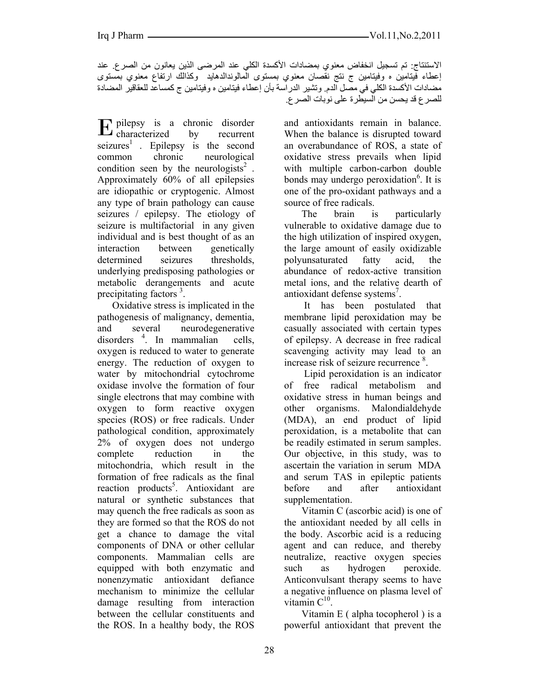الاستنتاج: تم تسجيل انخفاض معنوي بمضادات الأآسدة الكلي عند المرضى الذين يعانون من الصرع. عند إعطاء فيتامين ه وفيتامين ج نتج نقصان معنوي بمستوى المالوندالدهايد وكذالك ارتفاع معنوي بمستوى مضادات الأكسدة الكلي في مصل الدم. وتشير الدراسة بأن إعطاء فيتامين ه وفيتامين ج كمساعد للعقاقير المضادة للصرع قد يحسن من السيطرة على نوبات الصرع.

pilepsy is a chronic disorder E pilepsy is a chronic disorder by recurrent seizures<sup>1</sup>. Epilepsy is the second common chronic neurological condition seen by the neurologists<sup>2</sup>. Approximately 60% of all epilepsies are idiopathic or cryptogenic. Almost any type of brain pathology can cause seizures / epilepsy. The etiology of seizure is multifactorial in any given individual and is best thought of as an interaction between genetically determined seizures thresholds, underlying predisposing pathologies or metabolic derangements and acute precipitating factors<sup>3</sup>.

 Oxidative stress is implicated in the pathogenesis of malignancy, dementia, and several neurodegenerative disorders <sup>4</sup> . In mammalian cells, oxygen is reduced to water to generate energy. The reduction of oxygen to water by mitochondrial cytochrome oxidase involve the formation of four single electrons that may combine with oxygen to form reactive oxygen species (ROS) or free radicals. Under pathological condition, approximately 2% of oxygen does not undergo complete reduction in the mitochondria, which result in the formation of free radicals as the final reaction products<sup>5</sup>. Antioxidant are natural or synthetic substances that may quench the free radicals as soon as they are formed so that the ROS do not get a chance to damage the vital components of DNA or other cellular components. Mammalian cells are equipped with both enzymatic and nonenzymatic antioxidant defiance mechanism to minimize the cellular damage resulting from interaction between the cellular constituents and the ROS. In a healthy body, the ROS

and antioxidants remain in balance. When the balance is disrupted toward an overabundance of ROS, a state of oxidative stress prevails when lipid with multiple carbon-carbon double bonds may undergo peroxidation<sup>6</sup>. It is one of the pro-oxidant pathways and a source of free radicals.

 The brain is particularly vulnerable to oxidative damage due to the high utilization of inspired oxygen, the large amount of easily oxidizable polyunsaturated fatty acid, the abundance of redox-active transition metal ions, and the relative dearth of antioxidant defense systems<sup>7</sup>.

 It has been postulated that membrane lipid peroxidation may be casually associated with certain types of epilepsy. A decrease in free radical scavenging activity may lead to an increase risk of seizure recurrence <sup>8</sup> .

 Lipid peroxidation is an indicator of free radical metabolism and oxidative stress in human beings and other organisms. Malondialdehyde (MDA), an end product of lipid peroxidation, is a metabolite that can be readily estimated in serum samples. Our objective, in this study, was to ascertain the variation in serum MDA and serum TAS in epileptic patients before and after antioxidant supplementation.

 Vitamin C (ascorbic acid) is one of the antioxidant needed by all cells in the body. Ascorbic acid is a reducing agent and can reduce, and thereby neutralize, reactive oxygen species such as hydrogen peroxide. Anticonvulsant therapy seems to have a negative influence on plasma level of vitamin  $C^{10}$ 

 Vitamin E ( alpha tocopherol ) is a powerful antioxidant that prevent the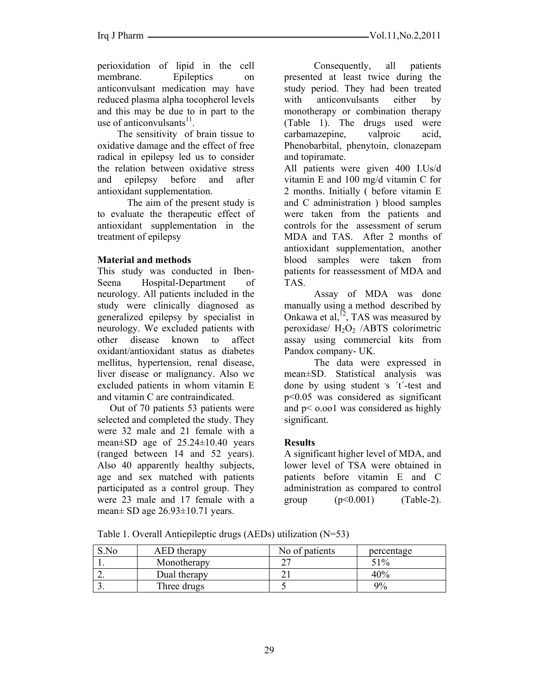perioxidation of lipid in the cell membrane. Epileptics on anticonvulsant medication may have reduced plasma alpha tocopherol levels and this may be due to in part to the use of anticonvulsants $11$ .

 The sensitivity of brain tissue to oxidative damage and the effect of free radical in epilepsy led us to consider the relation between oxidative stress and epilepsy before and after antioxidant supplementation.

The aim of the present study is to evaluate the therapeutic effect of antioxidant supplementation in the treatment of epilepsy

## **Material and methods**

This study was conducted in Iben-Seena Hospital-Department of neurology. All patients included in the study were clinically diagnosed as generalized epilepsy by specialist in neurology. We excluded patients with other disease known to affect oxidant/antioxidant status as diabetes mellitus, hypertension, renal disease, liver disease or malignancy. Also we excluded patients in whom vitamin E and vitamin C are contraindicated.

 Out of 70 patients 53 patients were selected and completed the study. They were 32 male and 21 female with a mean±SD age of 25.24±10.40 years (ranged between 14 and 52 years). Also 40 apparently healthy subjects, age and sex matched with patients participated as a control group. They were 23 male and 17 female with a mean $\pm$  SD age 26.93 $\pm$ 10.71 years.

Consequently, all patients presented at least twice during the study period. They had been treated with anticonvulsants either by monotherapy or combination therapy (Table 1). The drugs used were carbamazepine, valproic acid, Phenobarbital, phenytoin, clonazepam and topiramate.

All patients were given 400 I.Us/d vitamin E and 100 mg/d vitamin C for 2 months. Initially ( before vitamin E and C administration ) blood samples were taken from the patients and controls for the assessment of serum MDA and TAS. After 2 months of antioxidant supplementation, another blood samples were taken from patients for reassessment of MDA and TAS.

Assay of MDA was done manually using a method described by Onkawa et al,  $^{12}$ , TAS was measured by peroxidase/ $H_2O_2$  /ABTS colorimetric assay using commercial kits from Pandox company- UK.

The data were expressed in mean±SD. Statistical analysis was done by using student 's 't'-test and p<0.05 was considered as significant and p< o.oo1 was considered as highly significant.

## **Results**

A significant higher level of MDA, and lower level of TSA were obtained in patients before vitamin E and C administration as compared to control group  $(p<0.001)$  (Table-2).

Table 1. Overall Antiepileptic drugs (AEDs) utilization (N=53)

| S.No | AED therapy  | No of patients | percentage |
|------|--------------|----------------|------------|
|      | Monotherapy  |                | 51%        |
| ∼    | Dual therapy |                | 40%        |
|      | Three drugs  |                | 9%         |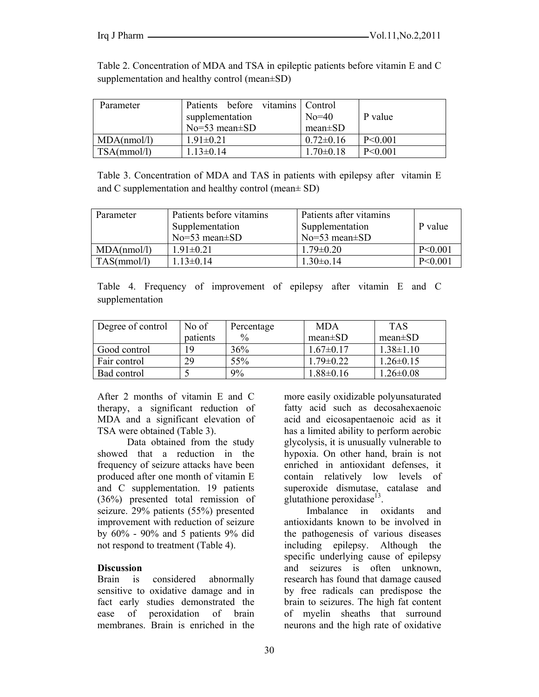Table 2. Concentration of MDA and TSA in epileptic patients before vitamin E and C supplementation and healthy control (mean±SD)

| Parameter   | Patients before vitamins Control<br>supplementation<br>$No=53$ mean $\pm SD$ | $No=40$<br>$mean \pm SD$ | P value   |
|-------------|------------------------------------------------------------------------------|--------------------------|-----------|
| MDA(nmol/l) | $1.91 \pm 0.21$                                                              | $0.72 \pm 0.16$          | P < 0.001 |
| TSA(mmol/l) | $1.13 \pm 0.14$                                                              | $1.70 \pm 0.18$          | P < 0.001 |

Table 3. Concentration of MDA and TAS in patients with epilepsy after vitamin E and C supplementation and healthy control (mean± SD)

| Parameter   | Patients before vitamins | Patients after vitamins |           |
|-------------|--------------------------|-------------------------|-----------|
|             | Supplementation          | Supplementation         | P value   |
|             | $No=53$ mean $\pm SD$    | $No=53$ mean $\pm SD$   |           |
| MDA(nmol/l) | $1.91 \pm 0.21$          | $1.79 \pm 0.20$         | P < 0.001 |
| TAS(mmol/l) | $1.13\pm0.14$            | $1.30 \pm 0.14$         | P < 0.001 |

Table 4. Frequency of improvement of epilepsy after vitamin E and C supplementation

| Degree of control | No of    | Percentage | <b>MDA</b>      | TAS             |
|-------------------|----------|------------|-----------------|-----------------|
|                   | patients | $\%$       | mean $\pm$ SD   | $mean \pm SD$   |
| Good control      | 19       | 36%        | $1.67 \pm 0.17$ | $1.38 \pm 1.10$ |
| Fair control      | 29       | 55%        | $1.79 \pm 0.22$ | $1.26 \pm 0.15$ |
| Bad control       |          | 9%         | $1.88 \pm 0.16$ | $1.26 \pm 0.08$ |

After 2 months of vitamin E and C therapy, a significant reduction of MDA and a significant elevation of TSA were obtained (Table 3).

Data obtained from the study showed that a reduction in the frequency of seizure attacks have been produced after one month of vitamin E and C supplementation. 19 patients (36%) presented total remission of seizure. 29% patients (55%) presented improvement with reduction of seizure by 60% - 90% and 5 patients 9% did not respond to treatment (Table 4).

## **Discussion**

Brain is considered abnormally sensitive to oxidative damage and in fact early studies demonstrated the ease of peroxidation of brain membranes. Brain is enriched in the

more easily oxidizable polyunsaturated fatty acid such as decosahexaenoic acid and eicosapentaenoic acid as it has a limited ability to perform aerobic glycolysis, it is unusually vulnerable to hypoxia. On other hand, brain is not enriched in antioxidant defenses, it contain relatively low levels of superoxide dismutase, catalase and glutathione peroxidase $^{13}$ .

 Imbalance in oxidants and antioxidants known to be involved in the pathogenesis of various diseases including epilepsy. Although the specific underlying cause of epilepsy and seizures is often unknown, research has found that damage caused by free radicals can predispose the brain to seizures. The high fat content of myelin sheaths that surround neurons and the high rate of oxidative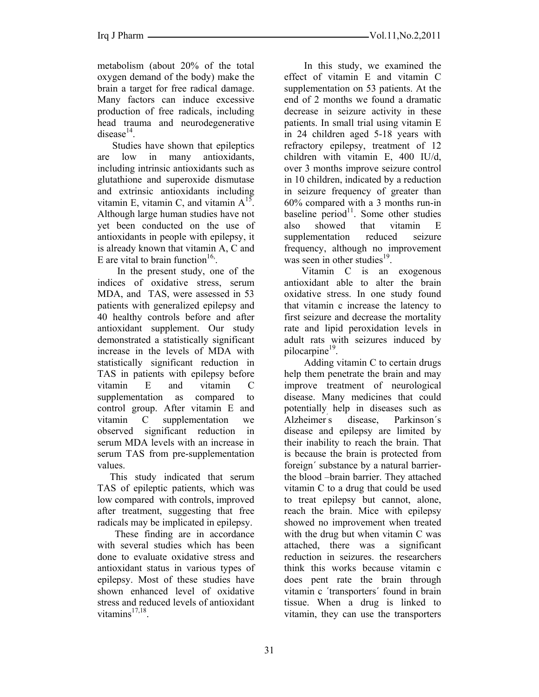metabolism (about 20% of the total oxygen demand of the body) make the brain a target for free radical damage. Many factors can induce excessive production of free radicals, including head trauma and neurodegenerative disease $^{14}$ .

 Studies have shown that epileptics are low in many antioxidants, including intrinsic antioxidants such as glutathione and superoxide dismutase and extrinsic antioxidants including vitamin E, vitamin C, and vitamin  $A<sup>15</sup>$ . Although large human studies have not yet been conducted on the use of antioxidants in people with epilepsy, it is already known that vitamin A, C and E are vital to brain function<sup>16</sup>.

 In the present study, one of the indices of oxidative stress, serum MDA, and TAS, were assessed in 53 patients with generalized epilepsy and 40 healthy controls before and after antioxidant supplement. Our study demonstrated a statistically significant increase in the levels of MDA with statistically significant reduction in TAS in patients with epilepsy before vitamin E and vitamin C supplementation as compared to control group. After vitamin E and vitamin C supplementation we observed significant reduction in serum MDA levels with an increase in serum TAS from pre-supplementation values.

 This study indicated that serum TAS of epileptic patients, which was low compared with controls, improved after treatment, suggesting that free radicals may be implicated in epilepsy.

 These finding are in accordance with several studies which has been done to evaluate oxidative stress and antioxidant status in various types of epilepsy. Most of these studies have shown enhanced level of oxidative stress and reduced levels of antioxidant vitamins $17,18$ 

 In this study, we examined the effect of vitamin E and vitamin C supplementation on 53 patients. At the end of 2 months we found a dramatic decrease in seizure activity in these patients. In small trial using vitamin E in 24 children aged 5-18 years with refractory epilepsy, treatment of 12 children with vitamin E, 400 IU/d, over 3 months improve seizure control in 10 children, indicated by a reduction in seizure frequency of greater than 60% compared with a 3 months run-in baseline period $^{11}$ . Some other studies also showed that vitamin E supplementation reduced seizure frequency, although no improvement was seen in other studies $^{19}$ .

 Vitamin C is an exogenous antioxidant able to alter the brain oxidative stress. In one study found that vitamin c increase the latency to first seizure and decrease the mortality rate and lipid peroxidation levels in adult rats with seizures induced by pilocarpine<sup>19</sup>.

 Adding vitamin C to certain drugs help them penetrate the brain and may improve treatment of neurological disease. Many medicines that could potentially help in diseases such as Alzheimer´ disease, Parkinson's disease and epilepsy are limited by their inability to reach the brain. That is because the brain is protected from foreign´ substance by a natural barrierthe blood –brain barrier. They attached vitamin C to a drug that could be used to treat epilepsy but cannot, alone, reach the brain. Mice with epilepsy showed no improvement when treated with the drug but when vitamin C was attached, there was a significant reduction in seizures. the researchers think this works because vitamin c does pent rate the brain through vitamin c ´transporters´ found in brain tissue. When a drug is linked to vitamin, they can use the transporters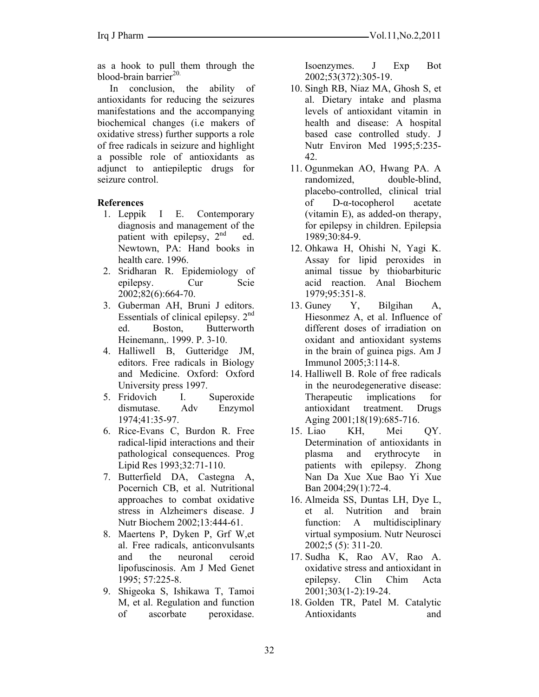as a hook to pull them through the blood-brain barrier<sup>20.</sup>

In conclusion, the ability of antioxidants for reducing the seizures manifestations and the accompanying biochemical changes (i.e makers of oxidative stress) further supports a role of free radicals in seizure and highlight a possible role of antioxidants as adjunct to antiepileptic drugs for seizure control.

## **References**

- 1. Leppik I E. Contemporary diagnosis and management of the patient with epilepsy,  $2^{nd}$  ed. Newtown, PA: Hand books in health care. 1996.
- 2. Sridharan R. Epidemiology of epilepsy. Cur Scie 2002;82(6):664-70.
- 3. Guberman AH, Bruni J editors. Essentials of clinical epilepsy.  $2<sup>nd</sup>$ ed. Boston, Butterworth Heinemann,. 1999. P. 3-10.
- 4. Halliwell B, Gutteridge JM, editors. Free radicals in Biology and Medicine. Oxford: Oxford University press 1997.
- 5. Fridovich I. Superoxide dismutase. Adv Enzymol 1974;41:35-97.
- 6. Rice-Evans C, Burdon R. Free radical-lipid interactions and their pathological consequences. Prog Lipid Res 1993;32:71-110.
- 7. Butterfield DA, Castegna A, Pocernich CB, et al. Nutritional approaches to combat oxidative stress in Alzheimer's disease. J Nutr Biochem 2002;13:444-61.
- 8. Maertens P, Dyken P, Grf W,et al. Free radicals, anticonvulsants and the neuronal ceroid lipofuscinosis. Am J Med Genet 1995; 57:225-8.
- 9. Shigeoka S, Ishikawa T, Tamoi M, et al. Regulation and function of ascorbate peroxidase.

Isoenzymes. J Exp Bot 2002;53(372):305-19.

- 10. Singh RB, Niaz MA, Ghosh S, et al. Dietary intake and plasma levels of antioxidant vitamin in health and disease: A hospital based case controlled study. J Nutr Environ Med 1995;5:235- 42.
- 11. Ogunmekan AO, Hwang PA. A randomized, double-blind, placebo-controlled, clinical trial of D-α-tocopherol acetate (vitamin E), as added-on therapy, for epilepsy in children. Epilepsia 1989;30:84-9.
- 12. Ohkawa H, Ohishi N, Yagi K. Assay for lipid peroxides in animal tissue by thiobarbituric acid reaction. Anal Biochem 1979;95:351-8.
- 13. Guney Y, Bilgihan A, Hiesonmez A, et al. Influence of different doses of irradiation on oxidant and antioxidant systems in the brain of guinea pigs. Am J Immunol 2005;3:114-8.
- 14. Halliwell B. Role of free radicals in the neurodegenerative disease: Therapeutic implications for antioxidant treatment. Drugs Aging 2001;18(19):685-716.
- 15. Liao KH, Mei QY. Determination of antioxidants in plasma and erythrocyte in patients with epilepsy. Zhong Nan Da Xue Xue Bao Yi Xue Ban 2004;29(1):72-4.
- 16. Almeida SS, Duntas LH, Dye L, et al. Nutrition and brain function: A multidisciplinary virtual symposium. Nutr Neurosci 2002;5 (5): 311-20.
- 17. Sudha K, Rao AV, Rao A. oxidative stress and antioxidant in epilepsy. Clin Chim Acta 2001;303(1-2):19-24.
- 18. Golden TR, Patel M. Catalytic Antioxidants and